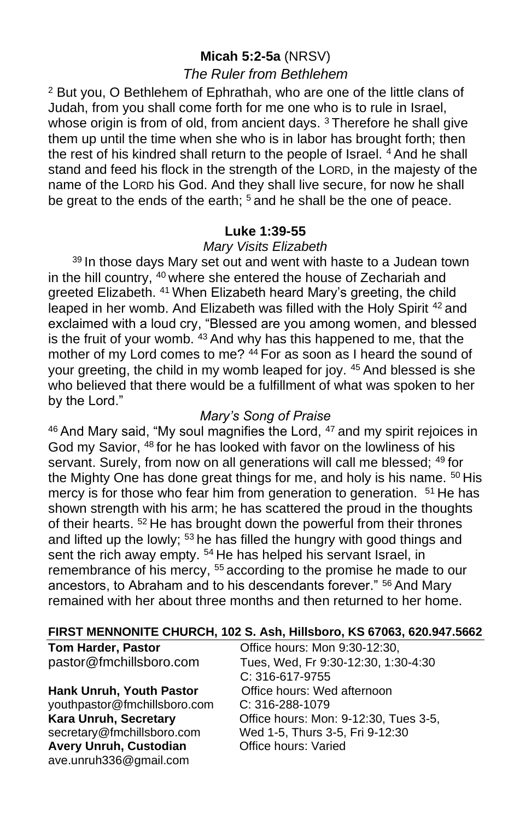# **Micah 5:2-5a** (NRSV)

# *The Ruler from Bethlehem*

<sup>2</sup> But you, O Bethlehem of Ephrathah, who are one of the little clans of Judah, from you shall come forth for me one who is to rule in Israel, whose origin is from of old, from ancient days.<sup>3</sup> Therefore he shall give them up until the time when she who is in labor has brought forth; then the rest of his kindred shall return to the people of Israel. <sup>4</sup> And he shall stand and feed his flock in the strength of the LORD, in the majesty of the name of the LORD his God. And they shall live secure, for now he shall be great to the ends of the earth;  $5$  and he shall be the one of peace.

## **Luke 1:39-55**

## *Mary Visits Elizabeth*

<sup>39</sup> In those days Mary set out and went with haste to a Judean town in the hill country, <sup>40</sup> where she entered the house of Zechariah and greeted Elizabeth. <sup>41</sup> When Elizabeth heard Mary's greeting, the child leaped in her womb. And Elizabeth was filled with the Holy Spirit <sup>42</sup> and exclaimed with a loud cry, "Blessed are you among women, and blessed is the fruit of your womb. <sup>43</sup> And why has this happened to me, that the mother of my Lord comes to me? <sup>44</sup> For as soon as I heard the sound of your greeting, the child in my womb leaped for joy. <sup>45</sup> And blessed is she who believed that there would be a fulfillment of what was spoken to her by the Lord."

## *Mary's Song of Praise*

<sup>46</sup> And Mary said, "My soul magnifies the Lord, <sup>47</sup> and my spirit rejoices in God my Savior, <sup>48</sup> for he has looked with favor on the lowliness of his servant. Surely, from now on all generations will call me blessed; <sup>49</sup> for the Mighty One has done great things for me, and holy is his name. <sup>50</sup> His mercy is for those who fear him from generation to generation. <sup>51</sup> He has shown strength with his arm; he has scattered the proud in the thoughts of their hearts. <sup>52</sup> He has brought down the powerful from their thrones and lifted up the lowly; <sup>53</sup> he has filled the hungry with good things and sent the rich away empty. <sup>54</sup> He has helped his servant Israel, in remembrance of his mercy, <sup>55</sup> according to the promise he made to our ancestors, to Abraham and to his descendants forever." <sup>56</sup> And Mary remained with her about three months and then returned to her home.

#### **FIRST MENNONITE CHURCH, 102 S. Ash, Hillsboro, KS 67063, 620.947.5662**

**Hank Unruh, Youth Pastor Office hours: Wed afternoon** [youthpastor@fmchillsboro.com](mailto:youthpastor@fmchillsboro.com) C: 316-288-1079 Avery Unruh, Custodian **Office hours: Varied** ave.unruh336@gmail.com

**Tom Harder, Pastor Conservery Conservery Conservery Particle hours:** Mon 9:30-12:30, pastor@fmchillsboro.com Tues, Wed, Fr 9:30-12:30, 1:30-4:30 C: 316-617-9755 **Kara Unruh, Secretary Cffice hours: Mon: 9-12:30, Tues 3-5, Secretary @fmchillsboro.com** Wed 1-5. Thurs 3-5. Fri 9-12:30 Wed 1-5, Thurs 3-5, Fri 9-12:30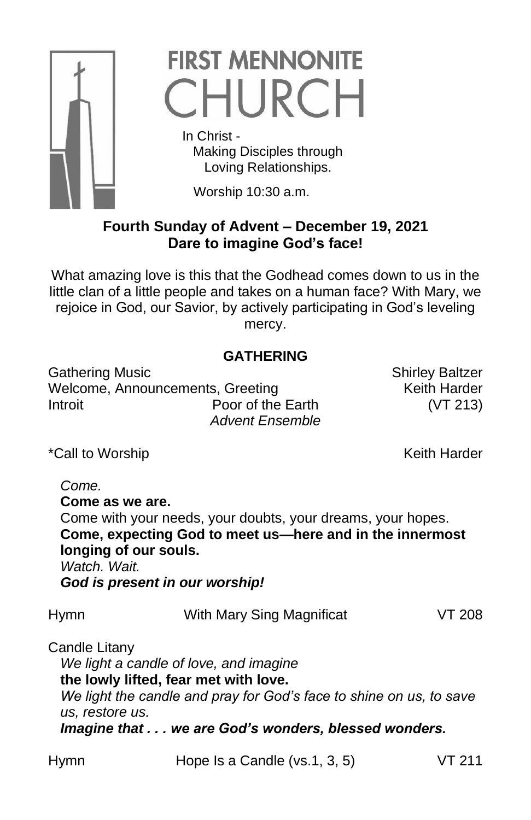

# **FIRST MENNONITE** CHURCH

 In Christ - Making Disciples through Loving Relationships.

Worship 10:30 a.m.

# **Fourth Sunday of Advent – December 19, 2021 Dare to imagine God's face!**

What amazing love is this that the Godhead comes down to us in the little clan of a little people and takes on a human face? With Mary, we rejoice in God, our Savior, by actively participating in God's leveling mercy.

# **GATHERING**

Gathering Music **Shirley Baltzer** Shirley Baltzer Welcome, Announcements, Greeting Keith Harder Introit Poor of the Earth (VT 213) *Advent Ensemble*

\*Call to Worship **Keith Harder** Keith Harder

*Come.* **Come as we are.** Come with your needs, your doubts, your dreams, your hopes. **Come, expecting God to meet us—here and in the innermost longing of our souls.** *Watch. Wait. God is present in our worship!*

Hymn With Mary Sing Magnificat VT 208

Candle Litany *We light a candle of love, and imagine* **the lowly lifted, fear met with love.** *We light the candle and pray for God's face to shine on us, to save us, restore us. Imagine that . . . we are God's wonders, blessed wonders.*

Hymn Hope Is a Candle (vs.1, 3, 5) VT 211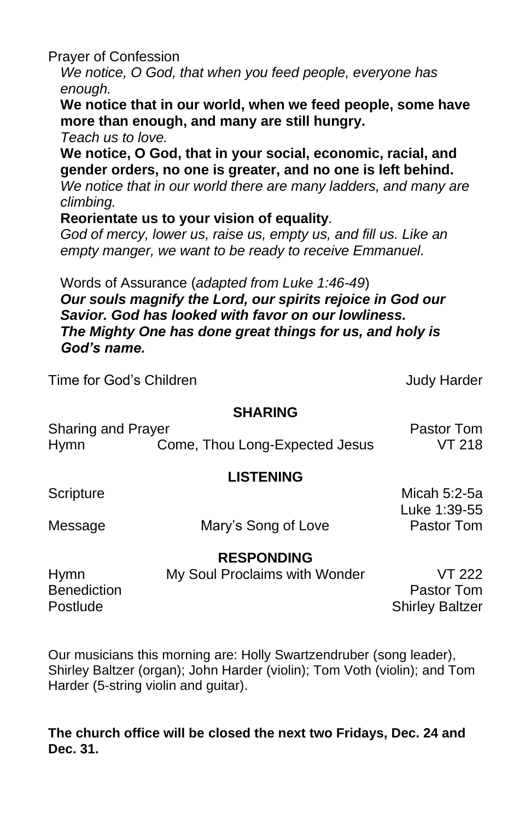Prayer of Confession

*We notice, O God, that when you feed people, everyone has enough.*

**We notice that in our world, when we feed people, some have more than enough, and many are still hungry.**

*Teach us to love.*

**We notice, O God, that in your social, economic, racial, and gender orders, no one is greater, and no one is left behind.**

*We notice that in our world there are many ladders, and many are climbing.*

## **Reorientate us to your vision of equality***.*

*God of mercy, lower us, raise us, empty us, and fill us. Like an empty manger, we want to be ready to receive Emmanuel.*

Words of Assurance (*adapted from Luke 1:46-49*)

*Our souls magnify the Lord, our spirits rejoice in God our Savior. God has looked with favor on our lowliness. The Mighty One has done great things for us, and holy is God's name.*

Time for God's Children Judy Harder

## **SHARING**

| Sharing and Prayer |                                | <b>Pastor Tom</b> |
|--------------------|--------------------------------|-------------------|
| Hymn               | Come, Thou Long-Expected Jesus | <b>VT 218</b>     |

# **LISTENING**

Message Mary's Song of Love Pastor Tom

Scripture Micah 5:2-5a Luke 1:39-55

# **RESPONDING**

| Hymn        | My Soul Proclaims with Wonder | VT 222                 |
|-------------|-------------------------------|------------------------|
| Benediction |                               | Pastor Tom             |
| Postlude    |                               | <b>Shirley Baltzer</b> |

Our musicians this morning are: Holly Swartzendruber (song leader), Shirley Baltzer (organ); John Harder (violin); Tom Voth (violin); and Tom Harder (5-string violin and guitar).

# **The church office will be closed the next two Fridays, Dec. 24 and Dec. 31.**